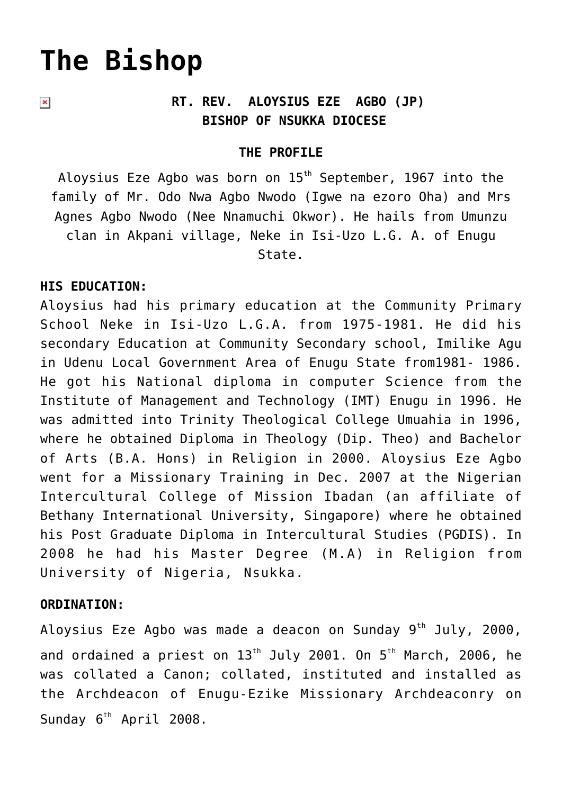# **[The Bishop](https://adonsk.com/the-bishp/)**

 $\pmb{\times}$ 

## **RT. REV. ALOYSIUS EZE AGBO (JP) BISHOP OF NSUKKA DIOCESE**

#### **THE PROFILE**

Aloysius Eze Agbo was born on  $15<sup>th</sup>$  September, 1967 into the family of Mr. Odo Nwa Agbo Nwodo (Igwe na ezoro Oha) and Mrs Agnes Agbo Nwodo (Nee Nnamuchi Okwor). He hails from Umunzu clan in Akpani village, Neke in Isi-Uzo L.G. A. of Enugu State.

#### **HIS EDUCATION:**

Aloysius had his primary education at the Community Primary School Neke in Isi-Uzo L.G.A. from 1975-1981. He did his secondary Education at Community Secondary school, Imilike Agu in Udenu Local Government Area of Enugu State from1981- 1986. He got his National diploma in computer Science from the Institute of Management and Technology (IMT) Enugu in 1996. He was admitted into Trinity Theological College Umuahia in 1996, where he obtained Diploma in Theology (Dip. Theo) and Bachelor of Arts (B.A. Hons) in Religion in 2000. Aloysius Eze Agbo went for a Missionary Training in Dec. 2007 at the Nigerian Intercultural College of Mission Ibadan (an affiliate of Bethany International University, Singapore) where he obtained his Post Graduate Diploma in Intercultural Studies (PGDIS). In 2008 he had his Master Degree (M.A) in Religion from University of Nigeria, Nsukka.

#### **ORDINATION:**

Aloysius Eze Agbo was made a deacon on Sunday  $9^{th}$  July, 2000, and ordained a priest on  $13<sup>th</sup>$  July 2001. On  $5<sup>th</sup>$  March, 2006, he was collated a Canon; collated, instituted and installed as the Archdeacon of Enugu-Ezike Missionary Archdeaconry on Sunday  $6^{th}$  April 2008.